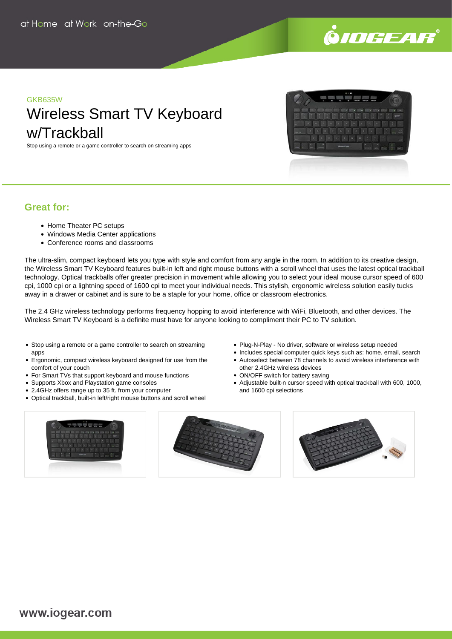

# GKB635W

# Wireless Smart TV Keyboard w/Trackball

Stop using a remote or a game controller to search on streaming apps

| U<br>ms.<br>٠<br>-<br>× | -<br><b>COLOR</b><br>m.<br>٠<br>v.   |                   |
|-------------------------|--------------------------------------|-------------------|
|                         |                                      |                   |
|                         |                                      |                   |
|                         |                                      |                   |
|                         | ٠                                    |                   |
| u<br>۰<br>٠             | o                                    |                   |
| o<br>٠<br>a<br>и        | ×<br>٠                               | ٠                 |
| e<br>ν                  | ٠<br>۰<br>۰                          |                   |
|                         |                                      |                   |
|                         |                                      | ٠<br><b>ALL A</b> |
|                         |                                      |                   |
|                         | $\mathbf{u}$<br>n<br><b>SANNY AN</b> | u<br>٠<br>٠       |

## **Great for:**

- Home Theater PC setups
- Windows Media Center applications
- Conference rooms and classrooms

The ultra-slim, compact keyboard lets you type with style and comfort from any angle in the room. In addition to its creative design, the Wireless Smart TV Keyboard features built-in left and right mouse buttons with a scroll wheel that uses the latest optical trackball technology. Optical trackballs offer greater precision in movement while allowing you to select your ideal mouse cursor speed of 600 cpi, 1000 cpi or a lightning speed of 1600 cpi to meet your individual needs. This stylish, ergonomic wireless solution easily tucks away in a drawer or cabinet and is sure to be a staple for your home, office or classroom electronics.

The 2.4 GHz wireless technology performs frequency hopping to avoid interference with WiFi, Bluetooth, and other devices. The Wireless Smart TV Keyboard is a definite must have for anyone looking to compliment their PC to TV solution.

- Stop using a remote or a game controller to search on streaming apps
- Ergonomic, compact wireless keyboard designed for use from the comfort of your couch
- For Smart TVs that support keyboard and mouse functions
- Supports Xbox and Playstation game consoles
- 2.4GHz offers range up to 35 ft. from your computer
- Optical trackball, built-in left/right mouse buttons and scroll wheel
- Plug-N-Play No driver, software or wireless setup needed
- Includes special computer quick keys such as: home, email, search
- Autoselect between 78 channels to avoid wireless interference with other 2.4GHz wireless devices
- ON/OFF switch for battery saving
- Adjustable built-n cursor speed with optical trackball with 600, 1000, and 1600 cpi selections